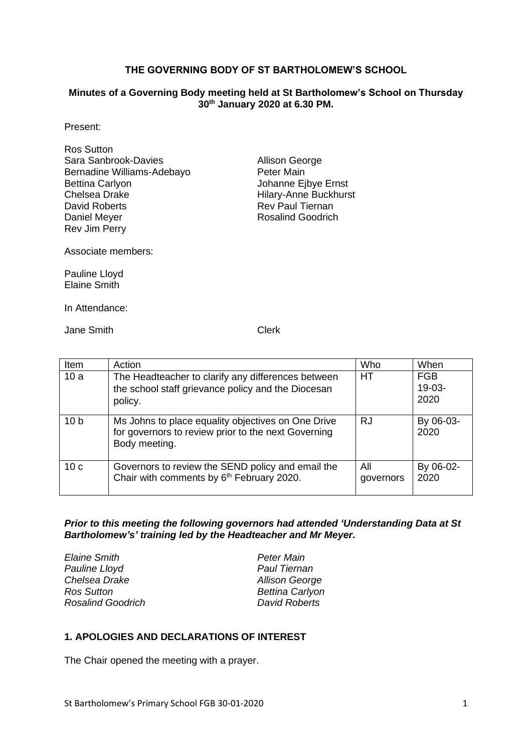#### **THE GOVERNING BODY OF ST BARTHOLOMEW'S SCHOOL**

#### **Minutes of a Governing Body meeting held at St Bartholomew's School on Thursday 30th January 2020 at 6.30 PM.**

Present:

| <b>Ros Sutton</b>          |
|----------------------------|
| Sara Sanbrook-Davies       |
| Bernadine Williams-Adebayo |
| <b>Bettina Carlyon</b>     |
| Chelsea Drake              |
| David Roberts              |
| Daniel Meyer               |
| Rev Jim Perry              |

Allison George Peter Main Johanne Ejbye Ernst Hilary-Anne Buckhurst Rev Paul Tiernan Rosalind Goodrich

Associate members:

Pauline Lloyd Elaine Smith

In Attendance:

Jane Smith Clerk

| Item            | Action                                                                                                                     | Who              | When                           |
|-----------------|----------------------------------------------------------------------------------------------------------------------------|------------------|--------------------------------|
| 10a             | The Headteacher to clarify any differences between<br>the school staff grievance policy and the Diocesan<br>policy.        | HT               | <b>FGB</b><br>$19-03-$<br>2020 |
| 10 <sub>b</sub> | Ms Johns to place equality objectives on One Drive<br>for governors to review prior to the next Governing<br>Body meeting. | RJ               | By 06-03-<br>2020              |
| 10 <sub>c</sub> | Governors to review the SEND policy and email the<br>Chair with comments by 6 <sup>th</sup> February 2020.                 | All<br>governors | By 06-02-<br>2020              |

*Prior to this meeting the following governors had attended 'Understanding Data at St Bartholomew's' training led by the Headteacher and Mr Meyer.*

| <b>Elaine Smith</b>      | Peter Main             |
|--------------------------|------------------------|
| Pauline Lloyd            | <b>Paul Tiernan</b>    |
| Chelsea Drake            | <b>Allison George</b>  |
| Ros Sutton               | <b>Bettina Carlyon</b> |
| <b>Rosalind Goodrich</b> | David Roberts          |
|                          |                        |

## **1. APOLOGIES AND DECLARATIONS OF INTEREST**

The Chair opened the meeting with a prayer.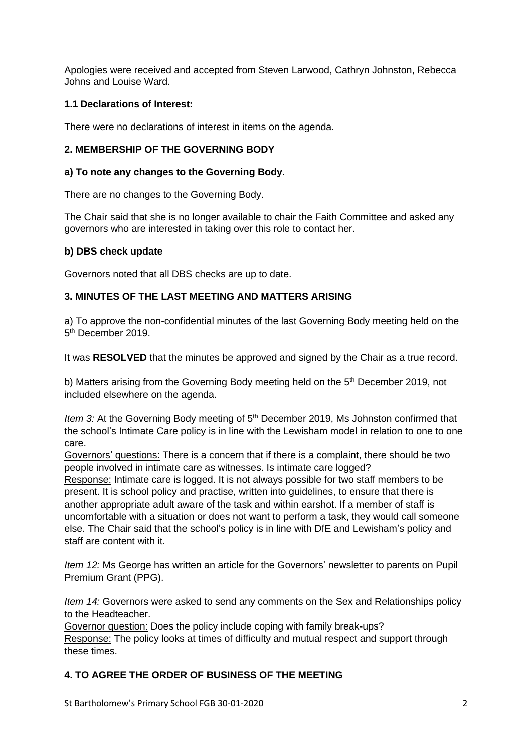Apologies were received and accepted from Steven Larwood, Cathryn Johnston, Rebecca Johns and Louise Ward.

### **1.1 Declarations of Interest:**

There were no declarations of interest in items on the agenda.

## **2. MEMBERSHIP OF THE GOVERNING BODY**

### **a) To note any changes to the Governing Body.**

There are no changes to the Governing Body.

The Chair said that she is no longer available to chair the Faith Committee and asked any governors who are interested in taking over this role to contact her.

### **b) DBS check update**

Governors noted that all DBS checks are up to date.

### **3. MINUTES OF THE LAST MEETING AND MATTERS ARISING**

a) To approve the non-confidential minutes of the last Governing Body meeting held on the 5<sup>th</sup> December 2019.

It was **RESOLVED** that the minutes be approved and signed by the Chair as a true record.

b) Matters arising from the Governing Body meeting held on the 5<sup>th</sup> December 2019, not included elsewhere on the agenda.

*Item 3:* At the Governing Body meeting of 5<sup>th</sup> December 2019, Ms Johnston confirmed that the school's Intimate Care policy is in line with the Lewisham model in relation to one to one care.

Governors' questions: There is a concern that if there is a complaint, there should be two people involved in intimate care as witnesses. Is intimate care logged?

Response: Intimate care is logged. It is not always possible for two staff members to be present. It is school policy and practise, written into guidelines, to ensure that there is another appropriate adult aware of the task and within earshot. If a member of staff is uncomfortable with a situation or does not want to perform a task, they would call someone else. The Chair said that the school's policy is in line with DfE and Lewisham's policy and staff are content with it.

*Item 12:* Ms George has written an article for the Governors' newsletter to parents on Pupil Premium Grant (PPG).

*Item 14:* Governors were asked to send any comments on the Sex and Relationships policy to the Headteacher.

Governor question: Does the policy include coping with family break-ups? Response: The policy looks at times of difficulty and mutual respect and support through these times.

## **4. TO AGREE THE ORDER OF BUSINESS OF THE MEETING**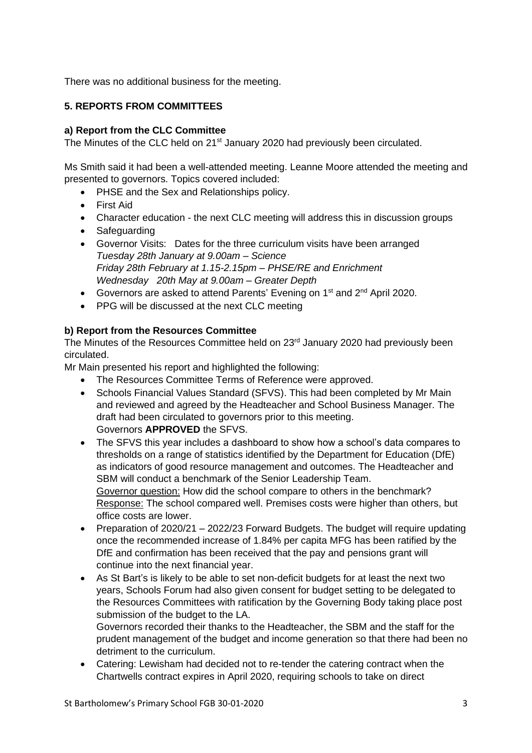There was no additional business for the meeting.

## **5. REPORTS FROM COMMITTEES**

### **a) Report from the CLC Committee**

The Minutes of the CLC held on 21<sup>st</sup> January 2020 had previously been circulated.

Ms Smith said it had been a well-attended meeting. Leanne Moore attended the meeting and presented to governors. Topics covered included:

- PHSE and the Sex and Relationships policy.
- First Aid
- Character education the next CLC meeting will address this in discussion groups
- Safeguarding
- Governor Visits: Dates for the three curriculum visits have been arranged *Tuesday 28th January at 9.00am – Science Friday 28th February at 1.15-2.15pm – PHSE/RE and Enrichment Wednesday 20th May at 9.00am – Greater Depth*
- Governors are asked to attend Parents' Evening on 1<sup>st</sup> and 2<sup>nd</sup> April 2020.
- PPG will be discussed at the next CLC meeting

### **b) Report from the Resources Committee**

The Minutes of the Resources Committee held on 23<sup>rd</sup> January 2020 had previously been circulated.

Mr Main presented his report and highlighted the following:

- The Resources Committee Terms of Reference were approved.
- Schools Financial Values Standard (SFVS). This had been completed by Mr Main and reviewed and agreed by the Headteacher and School Business Manager. The draft had been circulated to governors prior to this meeting. Governors **APPROVED** the SFVS.
- The SFVS this year includes a dashboard to show how a school's data compares to thresholds on a range of statistics identified by the Department for Education (DfE) as indicators of good resource management and outcomes. The Headteacher and SBM will conduct a benchmark of the Senior Leadership Team. Governor question: How did the school compare to others in the benchmark? Response: The school compared well. Premises costs were higher than others, but office costs are lower.
- Preparation of 2020/21 2022/23 Forward Budgets. The budget will require updating once the recommended increase of 1.84% per capita MFG has been ratified by the DfE and confirmation has been received that the pay and pensions grant will continue into the next financial year.
- As St Bart's is likely to be able to set non-deficit budgets for at least the next two years, Schools Forum had also given consent for budget setting to be delegated to the Resources Committees with ratification by the Governing Body taking place post submission of the budget to the LA.

Governors recorded their thanks to the Headteacher, the SBM and the staff for the prudent management of the budget and income generation so that there had been no detriment to the curriculum.

• Catering: Lewisham had decided not to re-tender the catering contract when the Chartwells contract expires in April 2020, requiring schools to take on direct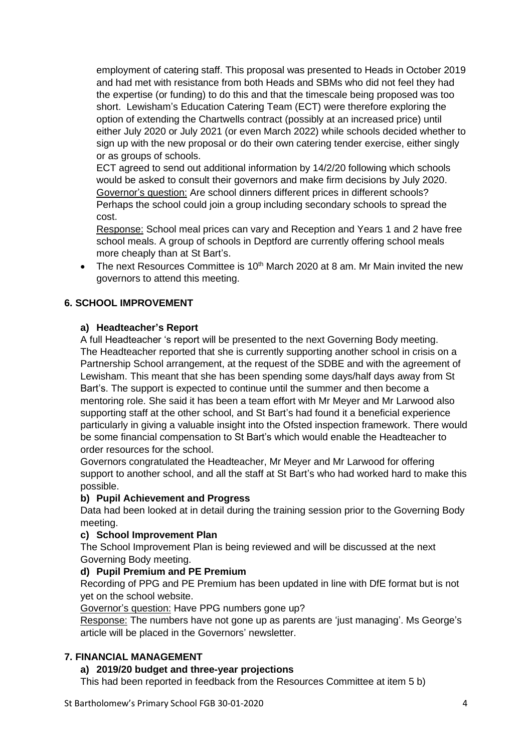employment of catering staff. This proposal was presented to Heads in October 2019 and had met with resistance from both Heads and SBMs who did not feel they had the expertise (or funding) to do this and that the timescale being proposed was too short. Lewisham's Education Catering Team (ECT) were therefore exploring the option of extending the Chartwells contract (possibly at an increased price) until either July 2020 or July 2021 (or even March 2022) while schools decided whether to sign up with the new proposal or do their own catering tender exercise, either singly or as groups of schools.

ECT agreed to send out additional information by 14/2/20 following which schools would be asked to consult their governors and make firm decisions by July 2020. Governor's question: Are school dinners different prices in different schools? Perhaps the school could join a group including secondary schools to spread the cost.

Response: School meal prices can vary and Reception and Years 1 and 2 have free school meals. A group of schools in Deptford are currently offering school meals more cheaply than at St Bart's.

• The next Resources Committee is  $10<sup>th</sup>$  March 2020 at 8 am. Mr Main invited the new governors to attend this meeting.

# **6. SCHOOL IMPROVEMENT**

### **a) Headteacher's Report**

A full Headteacher 's report will be presented to the next Governing Body meeting. The Headteacher reported that she is currently supporting another school in crisis on a Partnership School arrangement, at the request of the SDBE and with the agreement of Lewisham. This meant that she has been spending some days/half days away from St Bart's. The support is expected to continue until the summer and then become a mentoring role. She said it has been a team effort with Mr Meyer and Mr Larwood also supporting staff at the other school, and St Bart's had found it a beneficial experience particularly in giving a valuable insight into the Ofsted inspection framework. There would be some financial compensation to St Bart's which would enable the Headteacher to order resources for the school.

Governors congratulated the Headteacher, Mr Meyer and Mr Larwood for offering support to another school, and all the staff at St Bart's who had worked hard to make this possible.

### **b) Pupil Achievement and Progress**

Data had been looked at in detail during the training session prior to the Governing Body meeting.

## **c) School Improvement Plan**

The School Improvement Plan is being reviewed and will be discussed at the next Governing Body meeting.

### **d) Pupil Premium and PE Premium**

Recording of PPG and PE Premium has been updated in line with DfE format but is not yet on the school website.

Governor's question: Have PPG numbers gone up?

Response: The numbers have not gone up as parents are 'just managing'. Ms George's article will be placed in the Governors' newsletter.

## **7. FINANCIAL MANAGEMENT**

## **a) 2019/20 budget and three-year projections**

This had been reported in feedback from the Resources Committee at item 5 b)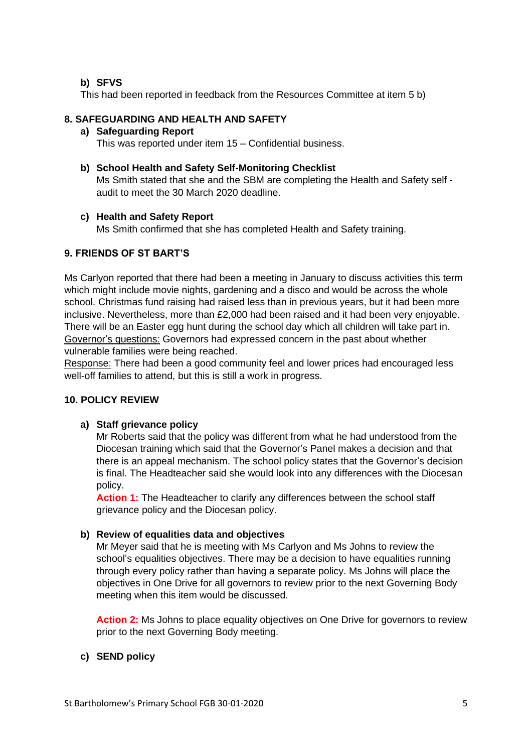### **b) SFVS**

This had been reported in feedback from the Resources Committee at item 5 b)

### **8. SAFEGUARDING AND HEALTH AND SAFETY**

### **a) Safeguarding Report**

This was reported under item 15 – Confidential business.

### **b) School Health and Safety Self-Monitoring Checklist**

Ms Smith stated that she and the SBM are completing the Health and Safety self audit to meet the 30 March 2020 deadline.

### **c) Health and Safety Report**

Ms Smith confirmed that she has completed Health and Safety training.

# **9. FRIENDS OF ST BART'S**

Ms Carlyon reported that there had been a meeting in January to discuss activities this term which might include movie nights, gardening and a disco and would be across the whole school. Christmas fund raising had raised less than in previous years, but it had been more inclusive. Nevertheless, more than £2,000 had been raised and it had been very enjoyable. There will be an Easter egg hunt during the school day which all children will take part in. Governor's questions: Governors had expressed concern in the past about whether vulnerable families were being reached.

Response: There had been a good community feel and lower prices had encouraged less well-off families to attend, but this is still a work in progress.

## **10. POLICY REVIEW**

### **a) Staff grievance policy**

Mr Roberts said that the policy was different from what he had understood from the Diocesan training which said that the Governor's Panel makes a decision and that there is an appeal mechanism. The school policy states that the Governor's decision is final. The Headteacher said she would look into any differences with the Diocesan policy.

**Action 1:** The Headteacher to clarify any differences between the school staff grievance policy and the Diocesan policy.

### **b) Review of equalities data and objectives**

Mr Meyer said that he is meeting with Ms Carlyon and Ms Johns to review the school's equalities objectives. There may be a decision to have equalities running through every policy rather than having a separate policy. Ms Johns will place the objectives in One Drive for all governors to review prior to the next Governing Body meeting when this item would be discussed.

**Action 2:** Ms Johns to place equality objectives on One Drive for governors to review prior to the next Governing Body meeting.

### **c) SEND policy**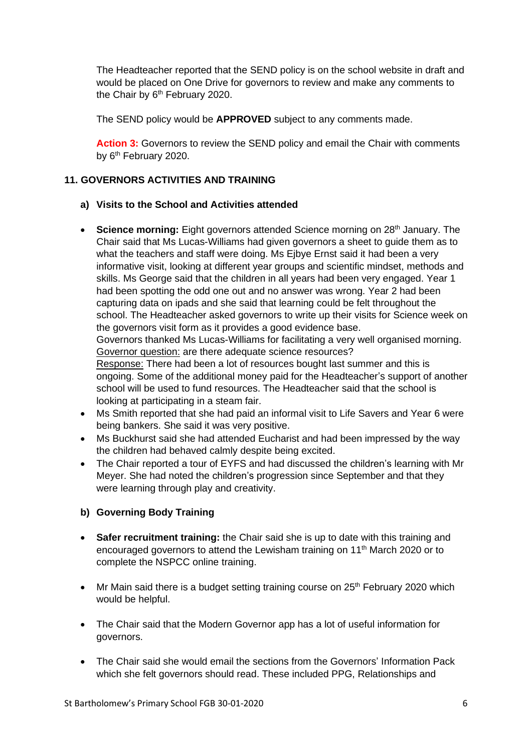The Headteacher reported that the SEND policy is on the school website in draft and would be placed on One Drive for governors to review and make any comments to the Chair by 6<sup>th</sup> February 2020.

The SEND policy would be **APPROVED** subject to any comments made.

**Action 3:** Governors to review the SEND policy and email the Chair with comments by 6<sup>th</sup> February 2020.

## **11. GOVERNORS ACTIVITIES AND TRAINING**

### **a) Visits to the School and Activities attended**

• Science morning: Eight governors attended Science morning on 28<sup>th</sup> January. The Chair said that Ms Lucas-Williams had given governors a sheet to guide them as to what the teachers and staff were doing. Ms Ejbye Ernst said it had been a very informative visit, looking at different year groups and scientific mindset, methods and skills. Ms George said that the children in all years had been very engaged. Year 1 had been spotting the odd one out and no answer was wrong. Year 2 had been capturing data on ipads and she said that learning could be felt throughout the school. The Headteacher asked governors to write up their visits for Science week on the governors visit form as it provides a good evidence base. Governors thanked Ms Lucas-Williams for facilitating a very well organised morning. Governor question: are there adequate science resources?

Response: There had been a lot of resources bought last summer and this is ongoing. Some of the additional money paid for the Headteacher's support of another school will be used to fund resources. The Headteacher said that the school is looking at participating in a steam fair.

- Ms Smith reported that she had paid an informal visit to Life Savers and Year 6 were being bankers. She said it was very positive.
- Ms Buckhurst said she had attended Eucharist and had been impressed by the way the children had behaved calmly despite being excited.
- The Chair reported a tour of EYFS and had discussed the children's learning with Mr Meyer. She had noted the children's progression since September and that they were learning through play and creativity.

## **b) Governing Body Training**

- **Safer recruitment training:** the Chair said she is up to date with this training and encouraged governors to attend the Lewisham training on 11<sup>th</sup> March 2020 or to complete the NSPCC online training.
- Mr Main said there is a budget setting training course on 25<sup>th</sup> February 2020 which would be helpful.
- The Chair said that the Modern Governor app has a lot of useful information for governors.
- The Chair said she would email the sections from the Governors' Information Pack which she felt governors should read. These included PPG, Relationships and